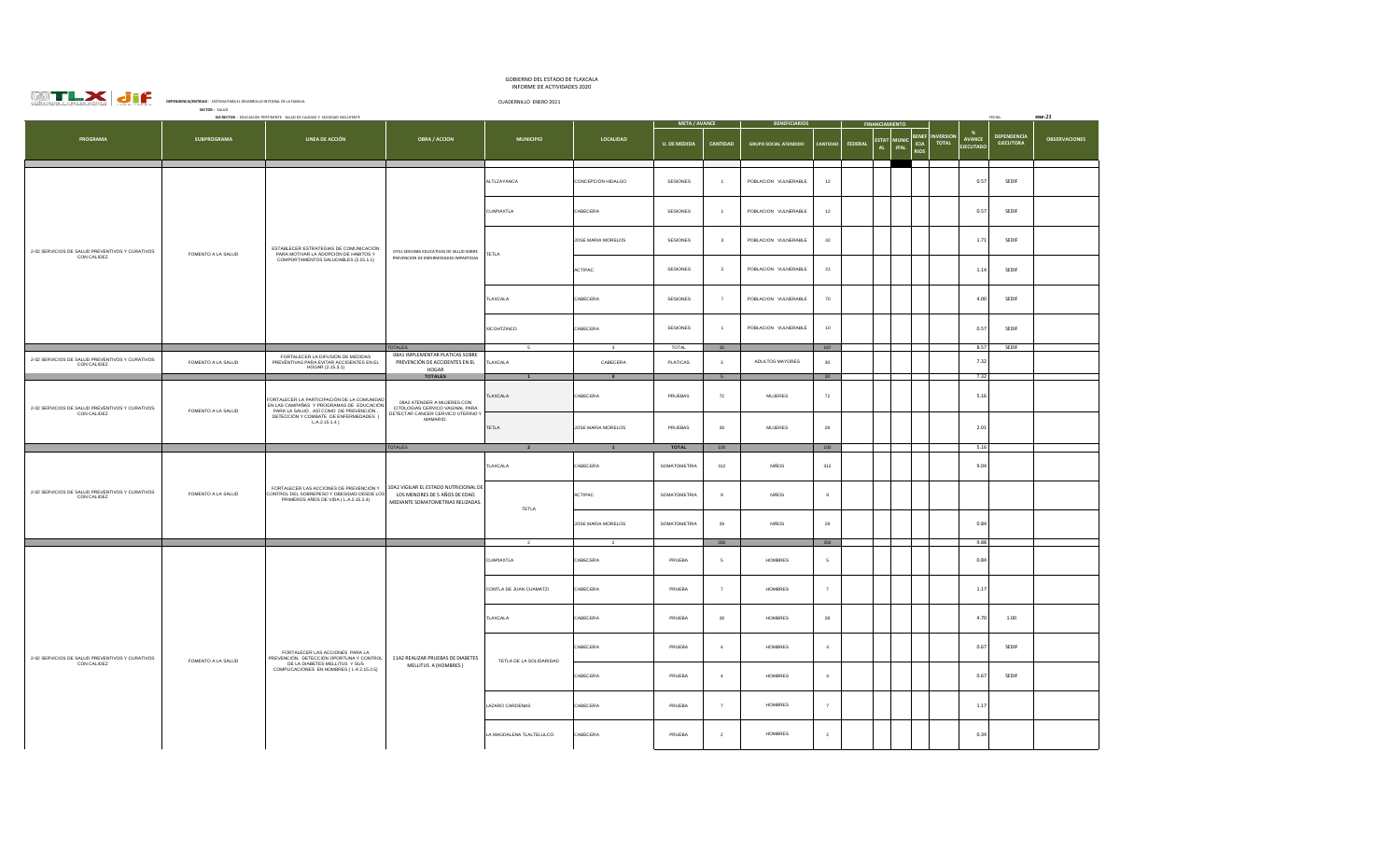| CONST<br>Y GREGER JUNT<br>×.<br><b>COS</b><br>ĸ |  |
|-------------------------------------------------|--|
| .                                               |  |

## GOBIERNO DEL ESTADO DE TLAXCALA INFORME DE ACTIVIDADES 2020

| <b>WTLX Jif</b>                                                | IN OTHER DE MOTIVIDADES COLO<br>DEPENDENCIA/ENTIDAD : SISTEMA PARA EL DESARROLLO INTEGRAL DE LA FAMILIA<br>CUADERNILLO ENERO 2021<br>SECTOR: SALUD<br>EJE RECTOR : EDUCACION PERTINENTE SALUD DE CAUDAD Y SOCIEDAD INCLUYENTE |                                                                                                                                                                                               |                                                                                                                                |                            |                                      |                          |                               |                              |                                            |                                                                   |                                                               |                                 |                      |
|----------------------------------------------------------------|-------------------------------------------------------------------------------------------------------------------------------------------------------------------------------------------------------------------------------|-----------------------------------------------------------------------------------------------------------------------------------------------------------------------------------------------|--------------------------------------------------------------------------------------------------------------------------------|----------------------------|--------------------------------------|--------------------------|-------------------------------|------------------------------|--------------------------------------------|-------------------------------------------------------------------|---------------------------------------------------------------|---------------------------------|----------------------|
|                                                                |                                                                                                                                                                                                                               |                                                                                                                                                                                               |                                                                                                                                |                            |                                      | <b>META / AVANCE</b>     |                               | <b>BENEFICIARIOS</b>         | <b>FINANCIAMIENTO</b>                      |                                                                   |                                                               | FECHA:                          | $ene-21$             |
| <b>PROGRAMA</b>                                                | <b>SUBPROGRAMA</b>                                                                                                                                                                                                            | LINEA DE ACCIÓN                                                                                                                                                                               | <b>OBRA / ACCION</b>                                                                                                           | <b>MUNICIPIO</b>           | <b>LOCALIDAD</b>                     | <b>U. DE MEDIDA</b>      | CANTIDAD                      | <b>GRUPO SOCIAL ATENDIDO</b> | <b>ESTAT</b><br>CANTIDAD<br>FEDERAL<br>AL. | <b>SFNF</b><br><b>MUNIC</b><br>ICIA<br><b>IPAL</b><br><b>RIOS</b> | - %<br><b>NVERSION</b><br>AVANCE<br>TOTAL<br><b>EJECUTADO</b> | DEPENDENCIA<br><b>EJECUTORA</b> | <b>OBSERVACIONES</b> |
|                                                                |                                                                                                                                                                                                                               |                                                                                                                                                                                               |                                                                                                                                | ALTLZAYANCA                | CONCEPCIÓN HIDALGO                   | <b>SESIONES</b>          |                               | POBLACION VULNERABLE         | 12                                         |                                                                   | 0.57                                                          | SEDIF                           |                      |
|                                                                |                                                                                                                                                                                                                               |                                                                                                                                                                                               |                                                                                                                                | CUAPIAXTLA                 | CABECERA                             | SESIONES                 |                               | POBLACION VULNERABLE         | 12                                         |                                                                   | 0.57                                                          | SEDIF                           |                      |
| 2-02 SERVICIOS DE SALUD PREVENTIVOS Y CURATIVOS<br>CON CALIDEZ | FOMENTO A LA SALUD                                                                                                                                                                                                            | ESTABLECER ESTRATEGIAS DE COMUNICACIÓN<br>PARA MOTIVAR LA ADOPCIÓN DE HABITOS Y                                                                                                               | 07A1 SESIONES EDUCATIVAS DE SALUD SOBRE<br>PREVENCION DE ENFERMEDADES IMPARTIDAS                                               | TETLA                      | JOSE MARIA MORELOS                   | SESIONES                 | $\overline{\mathbf{3}}$       | POBLACION VULNERABLE         | 42                                         |                                                                   | 1.71                                                          | SEDIF                           |                      |
|                                                                |                                                                                                                                                                                                                               | COMPORTAMENTOS SALUDABLES (2.15.1.1)                                                                                                                                                          |                                                                                                                                |                            | <b>ACTIPAC</b>                       | <b>SESIONES</b>          | $\overline{2}$                | POBLACION VULNERABLE         | 21                                         |                                                                   | 1.14                                                          | SEDIF                           |                      |
|                                                                |                                                                                                                                                                                                                               |                                                                                                                                                                                               |                                                                                                                                | TLAXCALA                   | CABECERA                             | SESIONES                 |                               | POBLACION VULNERABLE         | 70                                         |                                                                   | 4.00                                                          | SEDIF                           |                      |
|                                                                |                                                                                                                                                                                                                               |                                                                                                                                                                                               |                                                                                                                                | XICOHTZINCO                | CABECERA                             | SESIONES                 |                               | POBLACION VULNERABLE         | 10                                         |                                                                   | 0.57                                                          | SEDIF                           |                      |
| 2-02 SERVICIOS DE SALUD PREVENTIVOS Y CURATIVOS<br>CON CALIDEZ | FOMENTO A LA SALUD                                                                                                                                                                                                            | FORTALECER LA DIFUSIÓN DE MEDIDAS<br>PREVENTIVAS PARA EVITAR ACCIDENTES EN EL<br>HOGAR (2.15.3.1)                                                                                             | <b>TOTALES</b><br>08A1 IMPLEMENTAR PLATICAS SOBRE<br>PREVENCIÓN DE ACCIDENTES EN EL<br>HOGAR                                   | 5 <sup>5</sup><br>TLAXCALA | $\mathbf{3}$<br>CABECERA             | TOTAL<br><b>PLATICAS</b> | 15<br>$\overline{\mathbf{3}}$ | ADULTOS MAYORES              | 167<br>30                                  |                                                                   | 8.57<br>7.32                                                  | SEDIE                           |                      |
| 2-02 SERVICIOS DE SALUD PREVENTIVOS Y CURATIVOS<br>CON CALIDEZ | FOMENTO A LA SALUD                                                                                                                                                                                                            | FORTALECER LA PARTICIPACIÓN DE LA COMUNIDAD<br>EN LAS CAMPAÑAS Y PROGRAMAS DE EDUCACIÓN<br>PARA LA SALUD. ASÍ COMO DE PREVENCIÓN.<br>DETECCIÓN Y COMBATE DE ENFERMEDADES (<br>$LA.2.15.1.4$ ) | <b>TOTALES</b><br>09A2 ATENDER A MUJERES CON<br>CITOLOGIAS CERVICO VAGINAL PARA<br>DETECTAR CANCER CERVICO UTERINO<br>MAMARIO. | TLAXCALA                   | $\bullet$<br>CABECERA                | PRUEBAS                  | $5 -$<br>$\bf 72$             | <b>MUJERES</b>               | 30<br>72                                   |                                                                   | 7.32<br>5.16                                                  |                                 |                      |
|                                                                |                                                                                                                                                                                                                               |                                                                                                                                                                                               |                                                                                                                                | TETLA                      | JOSE MARIA MORELOS                   | PRUEBAS                  | 28                            | <b>MUJERES</b>               | 28                                         |                                                                   | 2.01                                                          |                                 |                      |
|                                                                |                                                                                                                                                                                                                               |                                                                                                                                                                                               | <b>TOTALES</b>                                                                                                                 |                            | $\blacksquare$                       | TOTAL                    | 100                           |                              | 100                                        |                                                                   | 5.16                                                          |                                 |                      |
|                                                                | FOMENTO A LA SALUD                                                                                                                                                                                                            | FORTALECER LAS ACCIONES DE PREVENCIÓN Y<br>CONTROL DEL SOBREPESO Y OBESIDAD DESDE LOS<br>PRIMEROS AÑOS DE VIDA (L.A.2.15.2.4)                                                                 | 10A2 VIGILAR EL ESTADO NUTRICIONAL DE<br>LOS MENORES DE 5 AÑOS DE EDAD<br>MEDIANTE SOMATOMETRIAS RELIZADAS                     | TLAXCALA                   | CARECERA                             | SOMATOMETRIA             | 312                           | <b>NIÑOS</b>                 | 312                                        |                                                                   | 9.04                                                          |                                 |                      |
| 2-02 SERVICIOS DE SALUD PREVENTIVOS Y CURATIVOS<br>CON CALIDEZ |                                                                                                                                                                                                                               |                                                                                                                                                                                               |                                                                                                                                | TETLA                      | <b>ACTIPAC</b>                       | SOMATOMETRIA             | $_{9}$                        | <b>NIÑOS</b>                 | $\overline{9}$                             |                                                                   |                                                               |                                 |                      |
|                                                                |                                                                                                                                                                                                                               |                                                                                                                                                                                               |                                                                                                                                |                            | JOSE MARIA MORELOS<br>$\overline{2}$ | SOMATOMETRIA             | 29<br>350                     | <b>NIÑOS</b>                 | 29<br>350                                  |                                                                   | 0.84<br>9.88                                                  |                                 |                      |
|                                                                |                                                                                                                                                                                                                               |                                                                                                                                                                                               |                                                                                                                                |                            |                                      |                          |                               |                              |                                            |                                                                   |                                                               |                                 |                      |
|                                                                |                                                                                                                                                                                                                               |                                                                                                                                                                                               |                                                                                                                                | CUAPIAXTLA                 | CABECERA                             | PRUEBA                   | 5                             | HOMBRES                      | $\mathsf{s}$                               |                                                                   | 0.84                                                          |                                 |                      |
|                                                                |                                                                                                                                                                                                                               |                                                                                                                                                                                               |                                                                                                                                | CONTLA DE JUAN CUAMATZI    | CABECERA                             | PRUEBA                   | $\overline{7}$                | HOMBRES                      | $\overline{7}$                             |                                                                   | 1.17                                                          |                                 |                      |
|                                                                |                                                                                                                                                                                                                               |                                                                                                                                                                                               |                                                                                                                                | TLAXCALA                   | CABECERA                             | PRUEBA                   | 28                            | <b>HOMBRES</b>               | 28                                         |                                                                   | 4.70                                                          | 1.00                            |                      |
| 2-02 SERVICIOS DE SALUD PREVENTIVOS Y CURATIVOS<br>CON CALIDEZ | FOMENTO A LA SALUD                                                                                                                                                                                                            | FORTALECER LAS ACCIONES PARA LA<br>PREVENCIÓN, DETECCIÓN OPORTUNA Y CONTROL<br>DE LA DIABETES MELLITUS Y SUS<br>COMPLICACIONES EN HOMBRES (LA 2.15.2.5)                                       | 11A2 REALIZAR PRUEBAS DE DIABETES                                                                                              | TETLA DE LA SOLIDARIDAD    | CARECERA                             | PRUEBA                   | $\mathbf{d}$                  | <b>HOMBRES</b>               | $\mathbf{A}$                               |                                                                   | 0.67                                                          | SEDIE                           |                      |
|                                                                |                                                                                                                                                                                                                               |                                                                                                                                                                                               | MELLITUS A (HOMBRES)                                                                                                           |                            | CABECERA                             | PRUEBA                   | $\overline{4}$                | <b>HOMBRES</b>               | $\overline{4}$                             |                                                                   | 0.67                                                          | SEDIF                           |                      |
|                                                                |                                                                                                                                                                                                                               |                                                                                                                                                                                               |                                                                                                                                | LAZARO CARDENAS            | CABECERA                             | PRUEBA                   | $\overline{7}$                | <b>HOMBRES</b>               | $\overline{7}$                             |                                                                   | 1.17                                                          |                                 |                      |
|                                                                |                                                                                                                                                                                                                               |                                                                                                                                                                                               |                                                                                                                                | LA MAGDALENA TLALTELULCO   | CABECERA                             | PRUEBA                   | $\overline{2}$                | HOMBRES                      | $\,$ 2 $\,$                                |                                                                   | 0.34                                                          |                                 |                      |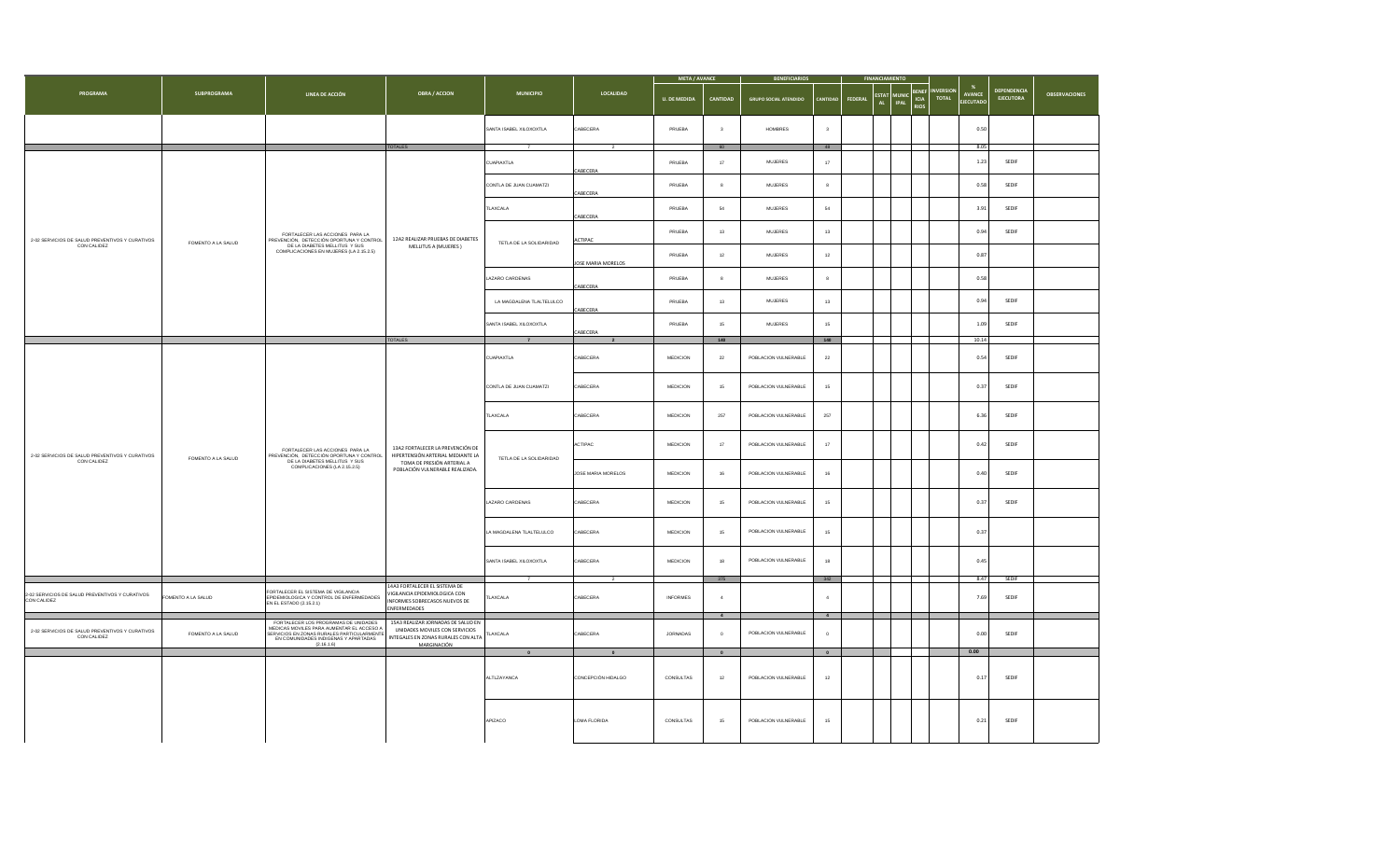|                                                                |                    | LINEA DE ACCIÓN                                                                                                                                                                      | <b>OBRA / ACCION</b>                                                                                                                   |                          | LOCALIDAD          | <b>META / AVANCE</b> |                           | <b>BENEFICIARIOS</b>         |                         |                |                                     |                                                          |                           |                                          |                                 |                      |
|----------------------------------------------------------------|--------------------|--------------------------------------------------------------------------------------------------------------------------------------------------------------------------------------|----------------------------------------------------------------------------------------------------------------------------------------|--------------------------|--------------------|----------------------|---------------------------|------------------------------|-------------------------|----------------|-------------------------------------|----------------------------------------------------------|---------------------------|------------------------------------------|---------------------------------|----------------------|
| PROGRAMA                                                       | SUBPROGRAMA        |                                                                                                                                                                                      |                                                                                                                                        | <b>MUNICIPIO</b>         |                    | <b>U. DE MEDIDA</b>  | CANTIDAD                  | <b>GRUPO SOCIAL ATENDIDO</b> | CANTIDAD                | <b>FEDERAL</b> | $\mathsf{c}$ stat $\parallel$<br>AL | <b>BENEF</b><br>MUNIC ICIA<br><b>IPAL</b><br><b>RIOS</b> | <b>INVERSION</b><br>TOTAL | $\%$<br><b>AVANCE</b><br><b>FIFCUTAD</b> | DEPENDENCIA<br><b>EJECUTORA</b> | <b>OBSERVACIONES</b> |
|                                                                |                    |                                                                                                                                                                                      |                                                                                                                                        | SANTA ISABEL XILOXOXTLA  | CABECERA           | PRUEBA               | $\ensuremath{\mathsf{3}}$ | HOMBRES                      | $\overline{\mathbf{3}}$ |                |                                     |                                                          |                           | 0.50                                     |                                 |                      |
|                                                                |                    |                                                                                                                                                                                      | TOTALES                                                                                                                                |                          |                    |                      | 60                        |                              | $48\,$                  |                |                                     |                                                          |                           | 8.05                                     |                                 |                      |
|                                                                |                    |                                                                                                                                                                                      |                                                                                                                                        | CUAPIAXTLA               | CABECERA           | PRUEBA               | 17                        | <b>MUJERES</b>               | 17                      |                |                                     |                                                          |                           | 1.23                                     | SEDIF                           |                      |
|                                                                |                    |                                                                                                                                                                                      |                                                                                                                                        | CONTLA DE JUAN CUAMATZI  | CABECERA           | PRUEBA               | $\bf8$                    | <b>MUJERES</b>               | $\boldsymbol{8}$        |                |                                     |                                                          |                           | 0.58                                     | SEDIF                           |                      |
|                                                                |                    |                                                                                                                                                                                      |                                                                                                                                        | TLAXCALA                 | CABECERA           | PRUEBA               | 54                        | <b>MUJERES</b>               | ${\bf 54}$              |                |                                     |                                                          |                           | 3.91                                     | SEDIF                           |                      |
| 2-02 SERVICIOS DE SALUD PREVENTIVOS Y CURATIVOS<br>CON CALIDEZ | FOMENTO A LA SALUD | FORTALECER LAS ACCIONES PARA LA<br>PREVENCIÓN, DETECCIÓN OPORTUNA Y CONTROL<br>DE LA DIABETES MELLITUS Y SUS<br>COMPLICACIONES EN MUJERES (LA 2.15.2.5)                              | 12A2 REALIZAR PRUEBAS DE DIABETES<br>MELLITUS A (MUJERES)                                                                              | TETLA DE LA SOLIDARIDAD  | <b>ACTIPAC</b>     | PRUEBA               | $13\,$                    | MUJERES                      | $13$                    |                |                                     |                                                          |                           | 0.94                                     | SEDIF                           |                      |
|                                                                |                    |                                                                                                                                                                                      |                                                                                                                                        |                          | JOSE MARIA MORELOS | PRUEBA               | $12\,$                    | <b>MUJERES</b>               | $12\,$                  |                |                                     |                                                          |                           | 0.87                                     |                                 |                      |
|                                                                |                    |                                                                                                                                                                                      |                                                                                                                                        | LAZARO CARDENAS          | CABECERA           | PRUEBA               | 8                         | MUJERES                      | 8                       |                |                                     |                                                          |                           | 0.58                                     |                                 |                      |
|                                                                |                    |                                                                                                                                                                                      |                                                                                                                                        | LA MAGDALENA TLALTELULCO | CABECERA           | PRUEBA               | $13\,$                    | <b>MUJERES</b>               | 13                      |                |                                     |                                                          |                           | 0.94                                     | SEDIF                           |                      |
|                                                                |                    |                                                                                                                                                                                      |                                                                                                                                        | SANTA ISABEL XILOXOXTLA  | CABECERA           | PRUEBA               | 15                        | <b>MUJERES</b>               | 15                      |                |                                     |                                                          |                           | 1.09                                     | SEDIF                           |                      |
|                                                                |                    |                                                                                                                                                                                      | <b>TOTALES</b>                                                                                                                         |                          |                    |                      | 140                       |                              | $140$                   |                |                                     |                                                          |                           | 10.14                                    |                                 |                      |
|                                                                | FOMENTO A LA SALUD |                                                                                                                                                                                      |                                                                                                                                        | CUAPIAXTLA               | CABECERA           | MEDICION             | 22                        | POBLACION VULNERABLE         | $\bf 22$                |                |                                     |                                                          |                           | 0.54                                     | SEDIF                           |                      |
|                                                                |                    | FORTALECER LAS ACCIONES PARA LA<br>PREVENCIÓN, DETECCIÓN OPORTUNA Y CONTROL<br>DE LA DIABETES MELLITUS Y SUS<br>COMPLICACIONES (LA 2.15.2.5)                                         | 13A2 FORTALECER LA PREVENCIÓN DE<br>HIPERTENSIÓN ARTERIAL MEDIANTE LA<br>TOMA DE PRESIÓN ARTERIAL A<br>POBLACIÓN VULNERABLE REALIZADA. | CONTLA DE JUAN CUAMATZI  | CABECERA           | MEDICION             | 15                        | POBLACION VULNERABLE         | $15\,$                  |                |                                     |                                                          |                           | 0.37                                     | SEDIF                           |                      |
|                                                                |                    |                                                                                                                                                                                      |                                                                                                                                        | TLAXCALA                 | CABECERA           | MEDICION             | 257                       | POBLACION VULNERABLE         | 257                     |                |                                     |                                                          |                           | 6.36                                     | SEDIF                           |                      |
| 2-02 SERVICIOS DE SALUD PREVENTIVOS Y CURATIVOS CON CALIDEZ    |                    |                                                                                                                                                                                      |                                                                                                                                        | TETLA DE LA SOLIDARIDAD  | <b>ACTIPAC</b>     | MEDICION             | 17                        | POBLACION VULNERABLE         | $17\,$                  |                |                                     |                                                          |                           | 0.42                                     | SEDIF                           |                      |
|                                                                |                    |                                                                                                                                                                                      |                                                                                                                                        |                          | JOSE MARIA MORELOS | MEDICION             | 16                        | POBLACION VULNERABLE         | 16                      |                |                                     |                                                          |                           | 0.40                                     | SEDIF                           |                      |
|                                                                |                    |                                                                                                                                                                                      |                                                                                                                                        | LAZARO CARDENAS          | CABECERA           | <b>MEDICION</b>      | 15                        | POBLACION VULNERABLE         | 15                      |                |                                     |                                                          |                           | 0.37                                     | SEDIE                           |                      |
|                                                                |                    |                                                                                                                                                                                      |                                                                                                                                        | LA MAGDALENA TLALTELULCO | CABECERA           | <b>MEDICION</b>      | 15                        | POBLACION VULNERABLE         | 15                      |                |                                     |                                                          |                           | 0.37                                     |                                 |                      |
|                                                                |                    |                                                                                                                                                                                      |                                                                                                                                        | SANTA ISABEL XILOXOXTLA  | CABECERA           | <b>MEDICION</b>      | 18                        | POBLACION VULNERABLE         | 18                      |                |                                     |                                                          |                           | 0.45                                     |                                 |                      |
|                                                                |                    |                                                                                                                                                                                      |                                                                                                                                        | $\overline{z}$           | $\overline{2}$     |                      | 375                       |                              | 342                     |                |                                     |                                                          |                           | 8.47                                     | SEDIF                           |                      |
| 2-02 SERVICIOS DE SALUD PREVENTIVOS Y CURATIVOS<br>CON CALIDEZ | OMENTO A LA SALUD  | FORTALECER EL SISTEMA DE VIGILANCIA<br>EPIDEMIOLOGICA Y CONTROL DE ENFERMEDADES<br>EPIDEMIOLOGICA Y CONTROL DE ENFERMEDADES                                                          | 14A3 FORTALECER EL SISTEMA DE<br>VIGILANCIA EPIDEMIOLOGICA CON<br>NFORMES SOBRECASOS NUEVOS DE<br><b>INFERMEDADES</b>                  | TLAXCALA                 | CABECERA           | <b>INFORMES</b>      | $\boldsymbol{4}$          |                              |                         |                |                                     |                                                          |                           | 7.69                                     | SEDIF                           |                      |
|                                                                |                    |                                                                                                                                                                                      |                                                                                                                                        |                          |                    |                      | $\,$ 4 $\,$               |                              | 4                       |                |                                     |                                                          |                           |                                          |                                 |                      |
| 2-02 SERVICIOS DE SALUD PREVENTIVOS Y CURATIVOS<br>CON CALIDEZ | FOMENTO A LA SALUD | FORTALECER LOS PROGRAMAS DE UNIDADES<br>MEDICAS MOVILES PARA AUMENTAR EL ACCESO A<br>SERVICIOS EN ZONAS RURALES PARTICULARMENT<br>EN COMUNIDADES INDIGENAS Y APARTADAS<br>(2.16.1.6) | 15A3 REALIZAR JORNADAS DE SALUD EN<br>UNIDADES MOVILES CON SERVICIOS<br>INTEGALES EN ZONAS RURALES CON ALTA<br>MARGINACIÓN             | TLAXCALA                 | CABECERA           | <b>JORNADAS</b>      | $\circ$                   | POBLACION VULNERABLE         | $\circ$                 |                |                                     |                                                          |                           | 0.00                                     | SEDIF                           |                      |
|                                                                |                    |                                                                                                                                                                                      |                                                                                                                                        | $\bullet$                | $\bullet$          |                      | $\bullet$                 |                              | $\bullet$               |                |                                     |                                                          |                           | 0.00                                     |                                 |                      |
|                                                                |                    |                                                                                                                                                                                      |                                                                                                                                        | ALTLZAYANCA              | CONCEPCIÓN HIDALGO | CONSULTAS            | 12                        | POBLACION VULNERABLE         | 12                      |                |                                     |                                                          |                           | 0.17                                     | SEDIF                           |                      |
|                                                                |                    |                                                                                                                                                                                      |                                                                                                                                        | APIZACO                  | LOMA FLORIDA       | CONSULTAS            | 15                        | POBLACION VULNERABLE         | $15\,$                  |                |                                     |                                                          |                           | 0.21                                     | SEDIF                           |                      |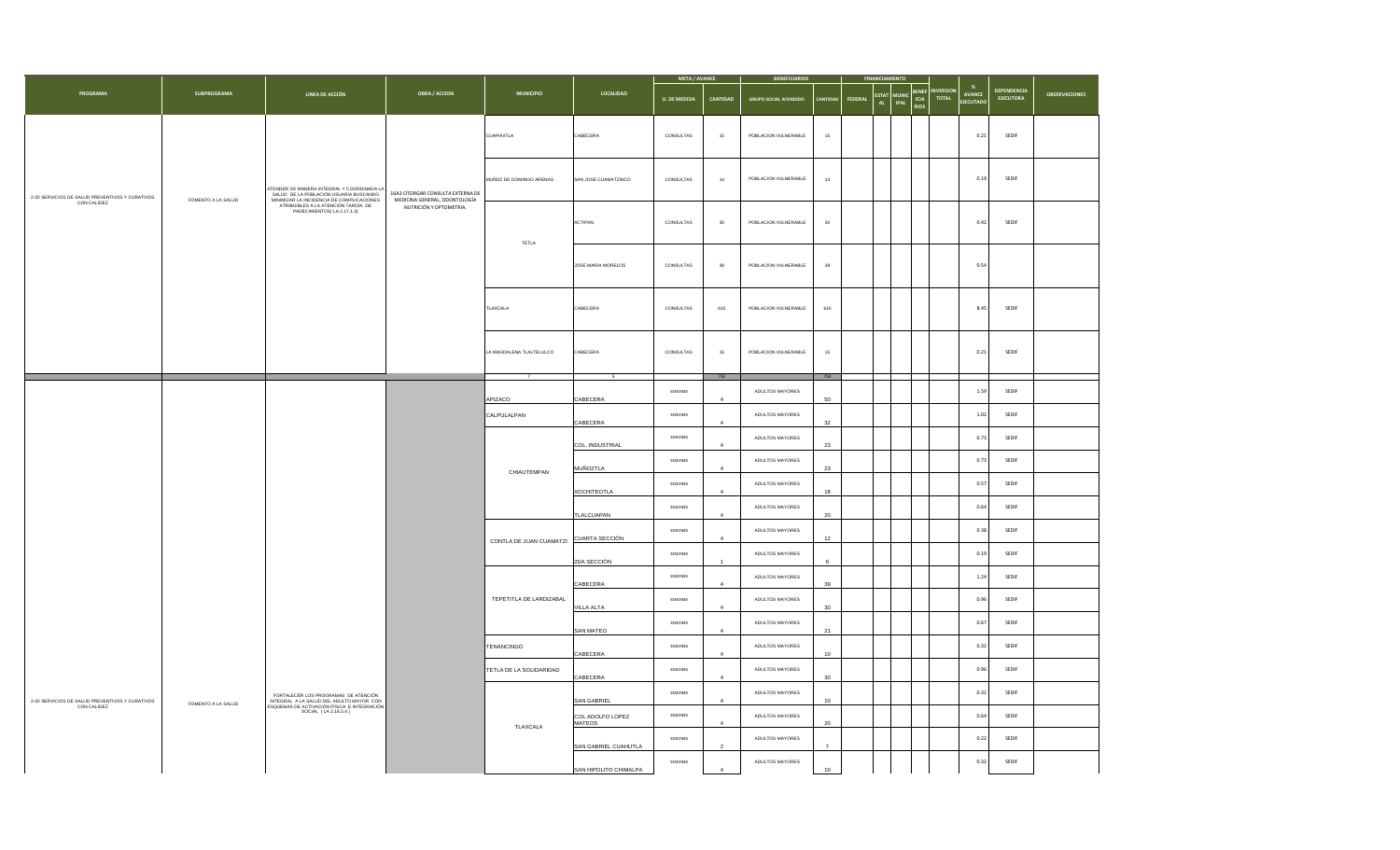|                                                                |                    |                                                                                                                                                                                                     |                                                                                              |                          |                                   | <b>META / AVANCE</b> |                | <b>BENEFICIARIOS</b>         |                |         | <b>FINANCIA</b>                                   |                                                                |                               |                                        |                      |
|----------------------------------------------------------------|--------------------|-----------------------------------------------------------------------------------------------------------------------------------------------------------------------------------------------------|----------------------------------------------------------------------------------------------|--------------------------|-----------------------------------|----------------------|----------------|------------------------------|----------------|---------|---------------------------------------------------|----------------------------------------------------------------|-------------------------------|----------------------------------------|----------------------|
| <b>PROGRAMA</b>                                                | SUBPROGRAMA        | LINEA DE ACCIÓN                                                                                                                                                                                     | <b>OBRA / ACCION</b>                                                                         | <b>MUNICIPIO</b>         | LOCALIDAD                         | <b>U. DE MEDIDA</b>  | CANTIDAD       | <b>GRUPO SOCIAL ATENDIDO</b> |                | FEDERAL | <b>ESTAT</b><br><b>MUNIC</b><br>AL<br><b>IPAL</b> | BENEF<br><b>VERSIOI</b><br><b>TOTAL</b><br>ICIA<br><b>RIOS</b> | %<br>AVANCE<br><b>ECUTADO</b> | <b>DEPENDENCIA</b><br><b>EJECUTORA</b> | <b>OBSERVACIONES</b> |
|                                                                |                    |                                                                                                                                                                                                     |                                                                                              | <b>CUAPIAXTLA</b>        | CABECERA                          | CONSULTAS            | 15             | POBLACION VULNERABLE         | 15             |         |                                                   |                                                                | 0.21                          | SEDIF                                  |                      |
| 2-02 SERVICIOS DE SALUD PREVENTIVOS Y CURATIVOS                |                    |                                                                                                                                                                                                     | 16A3 OTORGAR CONSULTA EXTERNA DE<br>MEDICINA GENERAL, ODONTOLOGÍA<br>NUTRICIÓN Y OPTOMETRIA. | MUÑOZ DE DOMINGO ARENAS  | SAN JOSE CUAMATZINCO              | CONSULTAS            | 14             | POBLACION VULNERABLE         | $^{\rm 14}$    |         |                                                   |                                                                | 0.19                          | SEDIF                                  |                      |
| CON CALIDEZ                                                    | FOMENTO A LA SALUD | ATENDER DE MANERA INTEGRAL Y COORDINADA LA SALUD DE LA POBLACIÓN USUARIA BUSCANDO<br>MINIMIZAR LA INCIDENCIA DE COMPLICACIONES<br>ATRIBUIBLES A LA ATENCIÓN TARDÍA DE<br>PADECIMIENTOS(LA 2.17.1.3) |                                                                                              |                          | ACTIPAN                           | CONSULTAS            | $30\,$         | POBLACION VULNERABLE         | $30\,$         |         |                                                   |                                                                | 0.42                          | SEDIF                                  |                      |
|                                                                |                    |                                                                                                                                                                                                     |                                                                                              | TETLA                    | <b>JOSE MARIA MORELOS</b>         | CONSULTAS            | 39             | POBLACION VULNERABLE         | 39             |         |                                                   |                                                                | 0.54                          |                                        |                      |
|                                                                |                    |                                                                                                                                                                                                     |                                                                                              | TLAXCALA                 | CABECERA                          | CONSULTAS            | 610            | POBLACION VULNERABLE         | 610            |         |                                                   |                                                                | 8.45                          | SEDIF                                  |                      |
|                                                                |                    |                                                                                                                                                                                                     |                                                                                              | LA MAGDALENA TLALTELULCO | CABECERA                          | CONSULTAS            | 15             | POBLACION VULNERABLE         | $15\,$         |         |                                                   |                                                                | 0.21                          | SEDIF                                  |                      |
|                                                                |                    |                                                                                                                                                                                                     |                                                                                              |                          | - 5                               |                      | 750            |                              | 750            |         |                                                   |                                                                |                               |                                        |                      |
|                                                                |                    |                                                                                                                                                                                                     |                                                                                              | APIZACO                  | CABECERA                          | SESIONES             |                | ADULTOS MAYORES              | 50             |         |                                                   |                                                                | 1.59                          | SEDIF                                  |                      |
|                                                                |                    |                                                                                                                                                                                                     |                                                                                              | CALPULALPAN              |                                   | SESIONES             |                | ADULTOS MAYORES              |                |         |                                                   |                                                                | 1.02                          | SEDIF                                  |                      |
|                                                                |                    |                                                                                                                                                                                                     |                                                                                              | CHIAUTEMPAN              | CABECERA                          | SESIONES             |                | ADULTOS MAYORES              | 32             |         |                                                   |                                                                | 0.73                          | SEDIF                                  |                      |
|                                                                |                    |                                                                                                                                                                                                     |                                                                                              |                          | COL. INDUSTRIAL                   | SESIONES             |                | ADULTOS MAYORES              | 23             |         |                                                   |                                                                | 0.73                          | SEDIF                                  |                      |
|                                                                |                    |                                                                                                                                                                                                     |                                                                                              |                          | <b>MUÑOZTLA</b>                   |                      |                |                              | 23             |         |                                                   |                                                                |                               |                                        |                      |
|                                                                |                    |                                                                                                                                                                                                     |                                                                                              |                          | XOCHITEOTLA                       | SESIONES             |                | ADULTOS MAYORES              | 18             |         |                                                   |                                                                | 0.57                          | SEDIF                                  |                      |
|                                                                |                    |                                                                                                                                                                                                     |                                                                                              |                          | TLALCUAPAN                        | SESIONES             |                | ADULTOS MAYORES              | $20\,$         |         |                                                   |                                                                | 0.64                          | SEDIF                                  |                      |
|                                                                |                    |                                                                                                                                                                                                     |                                                                                              | CONTLA DE JUAN CUAMATZI  | CUARTA SECCIÓN                    | SESIONES             | $\overline{A}$ | ADULTOS MAYORES              | 12             |         |                                                   |                                                                | 0.38                          | SEDIF                                  |                      |
|                                                                |                    |                                                                                                                                                                                                     |                                                                                              |                          | 2DA SECCIÓN                       | SESIONES             |                | ADULTOS MAYORES              | 6              |         |                                                   |                                                                | 0.19                          | SEDIF                                  |                      |
|                                                                |                    |                                                                                                                                                                                                     |                                                                                              |                          |                                   | SESIONES             |                | ADULTOS MAYORES              |                |         |                                                   |                                                                | 1.24                          | SEDIF                                  |                      |
|                                                                |                    |                                                                                                                                                                                                     |                                                                                              | TEPETITLA DE LARDIZABAL  | CABECERA                          | SESIONES             |                | ADULTOS MAYORES              | 39             |         |                                                   |                                                                | 0.96                          | SEDIF                                  |                      |
|                                                                |                    |                                                                                                                                                                                                     |                                                                                              |                          | VILLA ALTA                        | SESIONES             |                | ADULTOS MAYORES              | 30             |         |                                                   |                                                                | 0.67                          | SEDIF                                  |                      |
|                                                                |                    |                                                                                                                                                                                                     |                                                                                              |                          | SAN MATEO                         |                      | $\overline{A}$ |                              | 21             |         |                                                   |                                                                |                               |                                        |                      |
|                                                                |                    |                                                                                                                                                                                                     |                                                                                              | TENANCINGO               | CABECERA                          | SESIONES             | $\mathbf{A}$   | ADULTOS MAYORES              | 10             |         |                                                   |                                                                | 0.32                          | SEDIF                                  |                      |
|                                                                |                    |                                                                                                                                                                                                     |                                                                                              | TETLA DE LA SOLIDARIDAD  | CABECERA                          | SESIONES             |                | ADULTOS MAYORES              | 30             |         |                                                   |                                                                | 0.96                          | SEDIF                                  |                      |
| 2-02 SERVICIOS DE SALUD PREVENTIVOS Y CURATIVOS<br>CON CALIDEZ | FOMENTO A LA SALUD | FORTALECER LOS PROGRAMAS DE ATENCIÓN<br>INTEGRAL A LA SALUD DEL ADULTO MAYOR CON ESQUEMAS DE ACTIVACIÓN FÍSICA E INTEGRACIÓN                                                                        |                                                                                              |                          | SAN GABRIEL                       | SESIONES             |                | ADULTOS MAYORES              | $10-10$        |         |                                                   |                                                                | 0.32                          | SEDIF                                  |                      |
|                                                                |                    | SOCIAL (LA 2.18.3.4)                                                                                                                                                                                |                                                                                              | TLAXCALA                 | COL ADOLFO LOPEZ<br><b>MATEOS</b> | SESIONES             |                | ADULTOS MAYORES              | $20\degree$    |         |                                                   |                                                                | 0.64                          | SEDIF                                  |                      |
|                                                                |                    |                                                                                                                                                                                                     |                                                                                              |                          | SAN GABRIEL CUAHUTLA              | SESIONES             |                | ADULTOS MAYORES              | $\overline{7}$ |         |                                                   |                                                                | 0.22                          | SEDIF                                  |                      |
|                                                                |                    |                                                                                                                                                                                                     |                                                                                              |                          | SAN HIPOLITO CHIMALPA             | SESIONES             |                | ADULTOS MAYORES              | 10             |         |                                                   |                                                                | 0.32                          | SEDIF                                  |                      |